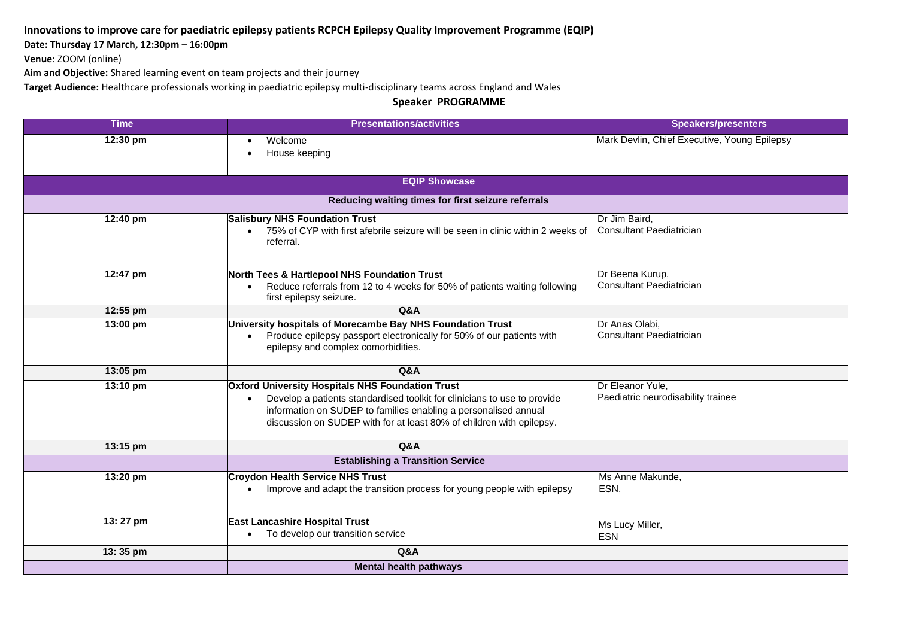## **Innovations to improve care for paediatric epilepsy patients RCPCH Epilepsy Quality Improvement Programme (EQIP)**

**Date: Thursday 17 March, 12:30pm – 16:00pm** 

**Venue**: ZOOM (online)

**Aim and Objective:** Shared learning event on team projects and their journey

**Target Audience:** Healthcare professionals working in paediatric epilepsy multi-disciplinary teams across England and Wales

**Speaker PROGRAMME**

| <b>Time</b>                                        | <b>Presentations/activities</b>                                                                                                         | <b>Speakers/presenters</b>                   |  |  |
|----------------------------------------------------|-----------------------------------------------------------------------------------------------------------------------------------------|----------------------------------------------|--|--|
| 12:30 pm                                           | Welcome<br>$\bullet$                                                                                                                    | Mark Devlin, Chief Executive, Young Epilepsy |  |  |
|                                                    | House keeping<br>$\bullet$                                                                                                              |                                              |  |  |
|                                                    |                                                                                                                                         |                                              |  |  |
| <b>EQIP Showcase</b>                               |                                                                                                                                         |                                              |  |  |
| Reducing waiting times for first seizure referrals |                                                                                                                                         |                                              |  |  |
| 12:40 pm                                           | <b>Salisbury NHS Foundation Trust</b>                                                                                                   | Dr Jim Baird,                                |  |  |
|                                                    | 75% of CYP with first afebrile seizure will be seen in clinic within 2 weeks of<br>referral.                                            | <b>Consultant Paediatrician</b>              |  |  |
| 12:47 pm                                           |                                                                                                                                         | Dr Beena Kurup,                              |  |  |
|                                                    | North Tees & Hartlepool NHS Foundation Trust<br>Reduce referrals from 12 to 4 weeks for 50% of patients waiting following<br>$\bullet$  | Consultant Paediatrician                     |  |  |
|                                                    | first epilepsy seizure.                                                                                                                 |                                              |  |  |
| 12:55 pm                                           | <b>Q&amp;A</b>                                                                                                                          |                                              |  |  |
| 13:00 pm                                           | University hospitals of Morecambe Bay NHS Foundation Trust                                                                              | Dr Anas Olabi,                               |  |  |
|                                                    | Produce epilepsy passport electronically for 50% of our patients with                                                                   | Consultant Paediatrician                     |  |  |
|                                                    | epilepsy and complex comorbidities.                                                                                                     |                                              |  |  |
| 13:05 pm                                           | <b>Q&amp;A</b>                                                                                                                          |                                              |  |  |
| 13:10 pm                                           | <b>Oxford University Hospitals NHS Foundation Trust</b>                                                                                 | Dr Eleanor Yule,                             |  |  |
|                                                    | Develop a patients standardised toolkit for clinicians to use to provide<br>$\bullet$                                                   | Paediatric neurodisability trainee           |  |  |
|                                                    | information on SUDEP to families enabling a personalised annual<br>discussion on SUDEP with for at least 80% of children with epilepsy. |                                              |  |  |
|                                                    |                                                                                                                                         |                                              |  |  |
| 13:15 pm                                           | Q&A                                                                                                                                     |                                              |  |  |
|                                                    | <b>Establishing a Transition Service</b>                                                                                                |                                              |  |  |
| 13:20 pm                                           | <b>Croydon Health Service NHS Trust</b>                                                                                                 | Ms Anne Makunde,                             |  |  |
|                                                    | Improve and adapt the transition process for young people with epilepsy                                                                 | ESN,                                         |  |  |
|                                                    |                                                                                                                                         |                                              |  |  |
| 13:27 pm                                           | East Lancashire Hospital Trust                                                                                                          | Ms Lucy Miller,                              |  |  |
|                                                    | To develop our transition service                                                                                                       | <b>ESN</b>                                   |  |  |
| 13:35 pm                                           | <b>Q&amp;A</b>                                                                                                                          |                                              |  |  |
|                                                    | <b>Mental health pathways</b>                                                                                                           |                                              |  |  |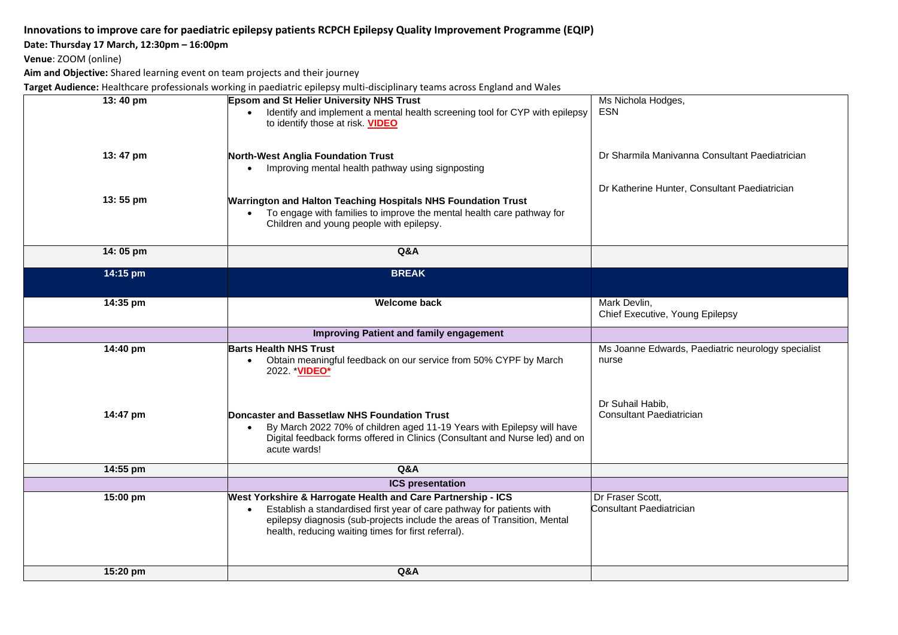# **Innovations to improve care for paediatric epilepsy patients RCPCH Epilepsy Quality Improvement Programme (EQIP)**

#### **Date: Thursday 17 March, 12:30pm – 16:00pm**

**Venue**: ZOOM (online)

**Aim and Objective:** Shared learning event on team projects and their journey

**Target Audience:** Healthcare professionals working in paediatric epilepsy multi-disciplinary teams across England and Wales

| 13:40 pm | <b>Epsom and St Helier University NHS Trust</b>                             | Ms Nichola Hodges,                                 |
|----------|-----------------------------------------------------------------------------|----------------------------------------------------|
|          | Identify and implement a mental health screening tool for CYP with epilepsy | <b>ESN</b>                                         |
|          |                                                                             |                                                    |
|          | to identify those at risk. VIDEO                                            |                                                    |
|          |                                                                             |                                                    |
|          |                                                                             |                                                    |
| 13:47 pm | North-West Anglia Foundation Trust                                          | Dr Sharmila Manivanna Consultant Paediatrician     |
|          | • Improving mental health pathway using signposting                         |                                                    |
|          |                                                                             |                                                    |
|          |                                                                             | Dr Katherine Hunter, Consultant Paediatrician      |
| 13:55 pm |                                                                             |                                                    |
|          | Warrington and Halton Teaching Hospitals NHS Foundation Trust               |                                                    |
|          | • To engage with families to improve the mental health care pathway for     |                                                    |
|          | Children and young people with epilepsy.                                    |                                                    |
|          |                                                                             |                                                    |
|          |                                                                             |                                                    |
| 14:05 pm | Q&A                                                                         |                                                    |
|          |                                                                             |                                                    |
| 14:15 pm | <b>BREAK</b>                                                                |                                                    |
|          |                                                                             |                                                    |
|          |                                                                             |                                                    |
| 14:35 pm | <b>Welcome back</b>                                                         | Mark Devlin,                                       |
|          |                                                                             | Chief Executive, Young Epilepsy                    |
|          |                                                                             |                                                    |
|          | <b>Improving Patient and family engagement</b>                              |                                                    |
| 14:40 pm | <b>Barts Health NHS Trust</b>                                               | Ms Joanne Edwards, Paediatric neurology specialist |
|          | Obtain meaningful feedback on our service from 50% CYPF by March            | nurse                                              |
|          | 2022. * <b>VIDEO*</b>                                                       |                                                    |
|          |                                                                             |                                                    |
|          |                                                                             |                                                    |
|          |                                                                             |                                                    |
|          |                                                                             | Dr Suhail Habib,                                   |
| 14:47 pm | Doncaster and Bassetlaw NHS Foundation Trust                                | Consultant Paediatrician                           |
|          | By March 2022 70% of children aged 11-19 Years with Epilepsy will have      |                                                    |
|          | Digital feedback forms offered in Clinics (Consultant and Nurse led) and on |                                                    |
|          | acute wards!                                                                |                                                    |
|          |                                                                             |                                                    |
| 14:55 pm | Q&A                                                                         |                                                    |
|          | <b>ICS presentation</b>                                                     |                                                    |
|          |                                                                             |                                                    |
| 15:00 pm | West Yorkshire & Harrogate Health and Care Partnership - ICS                | Dr Fraser Scott,                                   |
|          | Establish a standardised first year of care pathway for patients with       | Consultant Paediatrician                           |
|          | epilepsy diagnosis (sub-projects include the areas of Transition, Mental    |                                                    |
|          | health, reducing waiting times for first referral).                         |                                                    |
|          |                                                                             |                                                    |
|          |                                                                             |                                                    |
|          |                                                                             |                                                    |
| 15:20 pm | Q&A                                                                         |                                                    |
|          |                                                                             |                                                    |